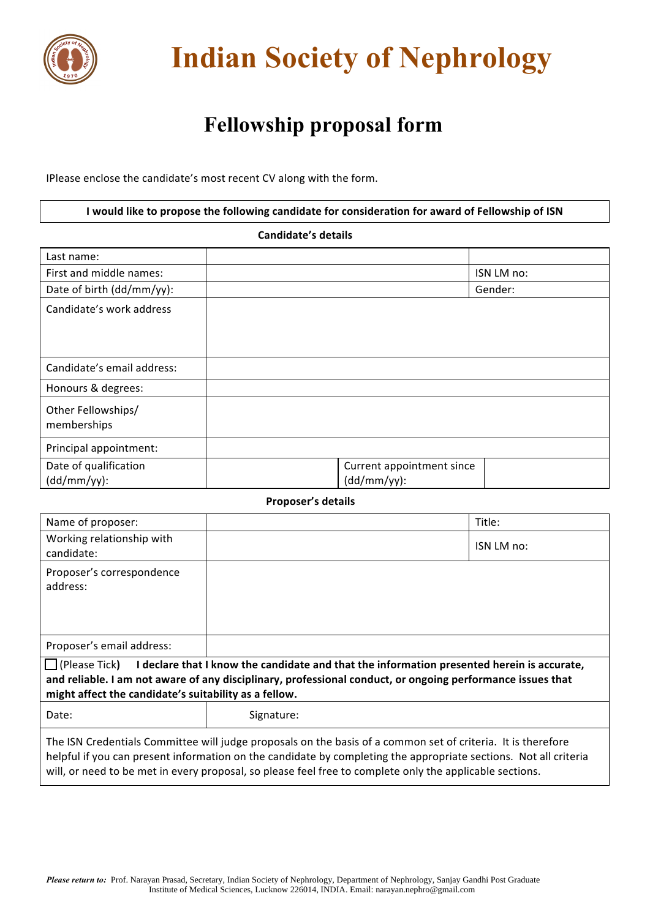

## **Indian Society of Nephrology**

## **Fellowship proposal form**

IPlease enclose the candidate's most recent CV along with the form.

**I** would like to propose the following candidate for consideration for award of Fellowship of ISN

 **Candidate's details**

| Last name:                              |                                             |
|-----------------------------------------|---------------------------------------------|
| First and middle names:                 | ISN LM no:                                  |
| Date of birth (dd/mm/yy):               | Gender:                                     |
| Candidate's work address                |                                             |
| Candidate's email address:              |                                             |
| Honours & degrees:                      |                                             |
| Other Fellowships/<br>memberships       |                                             |
| Principal appointment:                  |                                             |
| Date of qualification<br>$(dd/mm/yy)$ : | Current appointment since<br>$(dd/mm/yy)$ : |

## **Proposer's details**

| Name of proposer:                                                                                                                                                                                                                                                                                                                            |            | Title:     |  |
|----------------------------------------------------------------------------------------------------------------------------------------------------------------------------------------------------------------------------------------------------------------------------------------------------------------------------------------------|------------|------------|--|
| Working relationship with<br>candidate:                                                                                                                                                                                                                                                                                                      |            | ISN LM no: |  |
| Proposer's correspondence<br>address:                                                                                                                                                                                                                                                                                                        |            |            |  |
| Proposer's email address:                                                                                                                                                                                                                                                                                                                    |            |            |  |
| I declare that I know the candidate and that the information presented herein is accurate,<br>l I (Please Tick <b>)</b><br>and reliable. I am not aware of any disciplinary, professional conduct, or ongoing performance issues that<br>might affect the candidate's suitability as a fellow.                                               |            |            |  |
| Date:                                                                                                                                                                                                                                                                                                                                        | Signature: |            |  |
| The ISN Credentials Committee will judge proposals on the basis of a common set of criteria. It is therefore<br>helpful if you can present information on the candidate by completing the appropriate sections. Not all criteria<br>will, or need to be met in every proposal, so please feel free to complete only the applicable sections. |            |            |  |